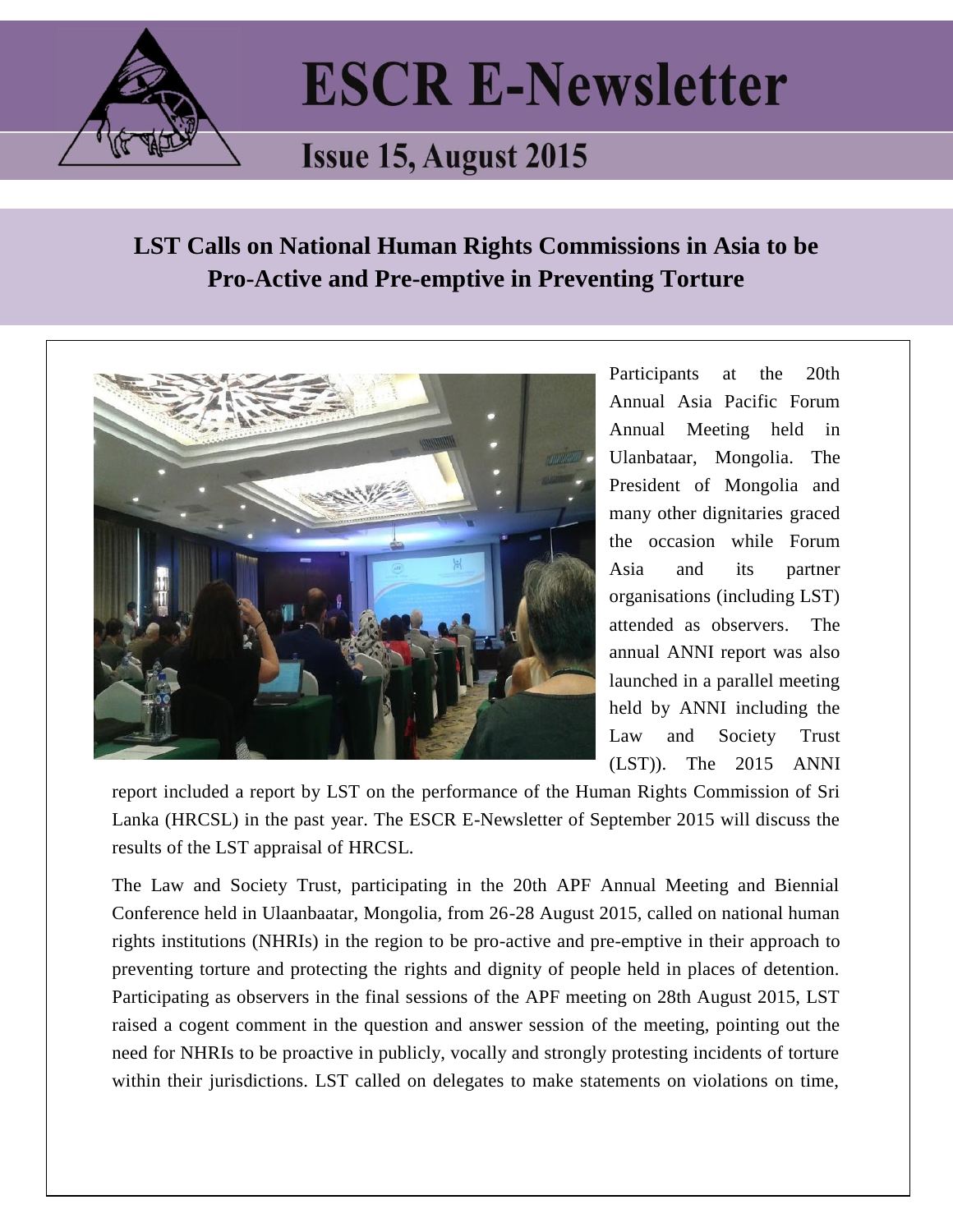

## **ESCR E-Newsletter**

## **Issue 15, August 2015**

## **LST Calls on National Human Rights Commissions in Asia to be Pro-Active and Pre-emptive in Preventing Torture**



Participants at the 20th Annual Asia Pacific Forum Annual Meeting held in Ulanbataar, Mongolia. The President of Mongolia and many other dignitaries graced the occasion while Forum Asia and its partner organisations (including LST) attended as observers. The annual ANNI report was also launched in a parallel meeting held by ANNI including the Law and Society Trust (LST)). The 2015 ANNI

report included a report by LST on the performance of the Human Rights Commission of Sri Lanka (HRCSL) in the past year. The ESCR E-Newsletter of September 2015 will discuss the results of the LST appraisal of HRCSL.

The Law and Society Trust, participating in the 20th APF Annual Meeting and Biennial Conference held in Ulaanbaatar, Mongolia, from 26-28 August 2015, called on national human rights institutions (NHRIs) in the region to be pro-active and pre-emptive in their approach to preventing torture and protecting the rights and dignity of people held in places of detention. Participating as observers in the final sessions of the APF meeting on 28th August 2015, LST raised a cogent comment in the question and answer session of the meeting, pointing out the need for NHRIs to be proactive in publicly, vocally and strongly protesting incidents of torture within their jurisdictions. LST called on delegates to make statements on violations on time,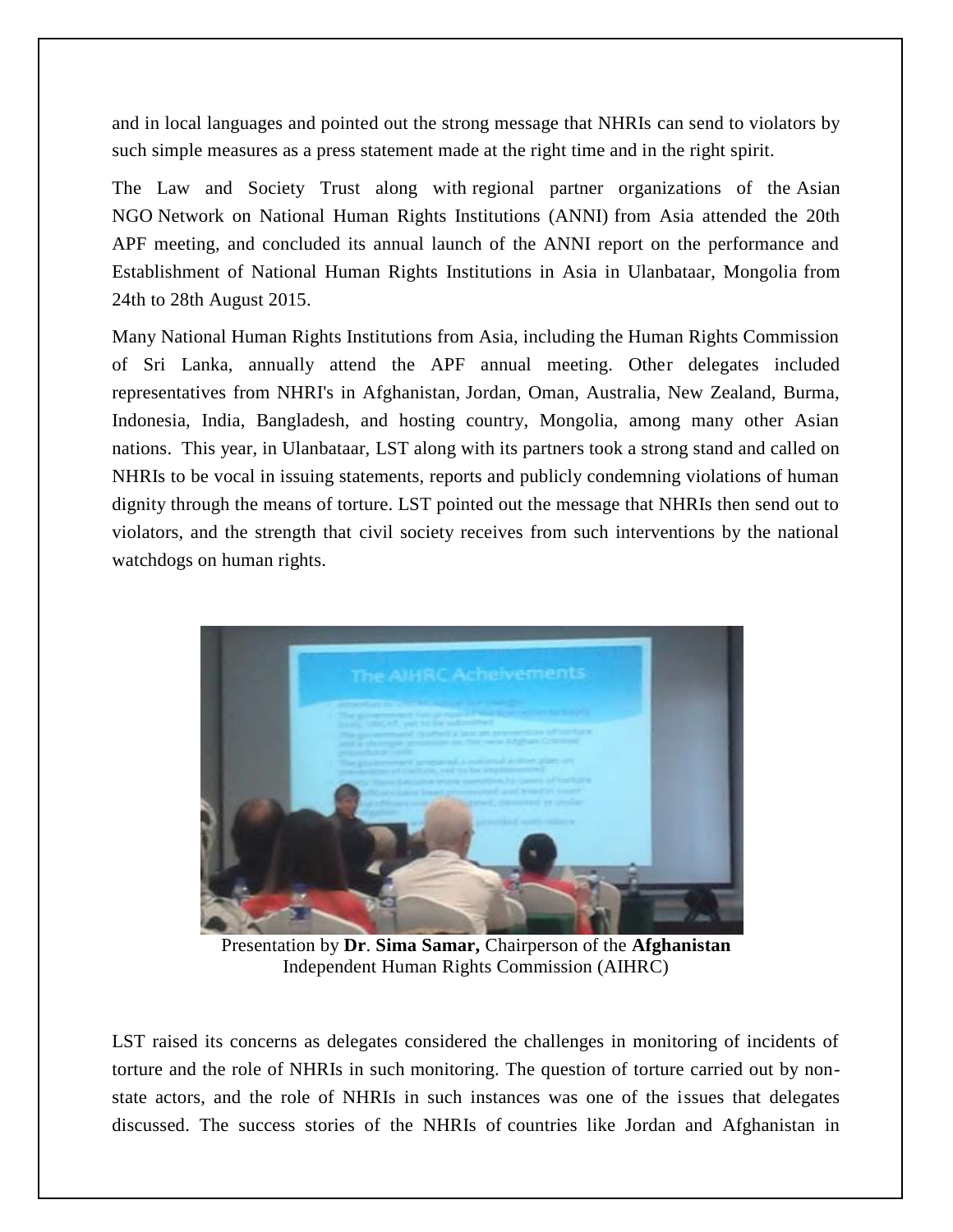and in local languages and pointed out the strong message that NHRIs can send to violators by such simple measures as a press statement made at the right time and in the right spirit.

The Law and Society Trust along with regional partner organizations of the [Asian](https://www.forum-asia.org/?issues=civil-society-anni)  NGO [Network on National Human Rights Institutions \(ANNI\)](https://www.forum-asia.org/?issues=civil-society-anni) from Asia attended the 20th APF meeting, and concluded its annual launch of the ANNI report on the performance and Establishment of National Human Rights Institutions in Asia in Ulanbataar, Mongolia from 24th to 28th August 2015.

Many National Human Rights Institutions from Asia, including the Human Rights Commission of Sri Lanka, annually attend the APF annual meeting. Other delegates included representatives from NHRI's in Afghanistan, Jordan, Oman, Australia, New Zealand, Burma, Indonesia, India, Bangladesh, and hosting country, Mongolia, among many other Asian nations. This year, in Ulanbataar, LST along with its partners took a strong stand and called on NHRIs to be vocal in issuing statements, reports and publicly condemning violations of human dignity through the means of torture. LST pointed out the message that NHRIs then send out to violators, and the strength that civil society receives from such interventions by the national watchdogs on human rights.



Presentation by **Dr**. **Sima Samar,** Chairperson of the **Afghanistan** Independent Human Rights Commission (AIHRC)

LST raised its concerns as delegates considered the challenges in monitoring of incidents of torture and the role of NHRIs in such monitoring. The question of torture carried out by nonstate actors, and the role of NHRIs in such instances was one of the issues that delegates discussed. The success stories of the NHRIs of countries like Jordan and Afghanistan in